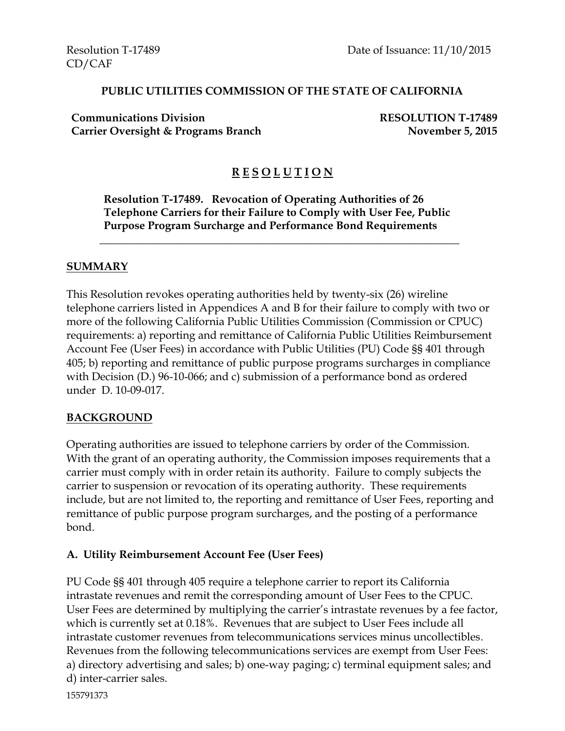#### **PUBLIC UTILITIES COMMISSION OF THE STATE OF CALIFORNIA**

**Communications Division RESOLUTION T-17489 Carrier Oversight & Programs Branch November 5, 2015** 

# **R E S O L U T I O N**

**Resolution T-17489. Revocation of Operating Authorities of 26 Telephone Carriers for their Failure to Comply with User Fee, Public Purpose Program Surcharge and Performance Bond Requirements**

\_\_\_\_\_\_\_\_\_\_\_\_\_\_\_\_\_\_\_\_\_\_\_\_\_\_\_\_\_\_\_\_\_\_\_\_\_\_\_\_\_\_\_\_\_\_\_\_\_\_\_\_\_\_\_\_\_\_\_\_\_\_\_\_\_

#### **SUMMARY**

This Resolution revokes operating authorities held by twenty-six (26) wireline telephone carriers listed in Appendices A and B for their failure to comply with two or more of the following California Public Utilities Commission (Commission or CPUC) requirements: a) reporting and remittance of California Public Utilities Reimbursement Account Fee (User Fees) in accordance with Public Utilities (PU) Code §§ 401 through 405; b) reporting and remittance of public purpose programs surcharges in compliance with Decision (D.) 96-10-066; and c) submission of a performance bond as ordered under D. 10-09-017.

#### **BACKGROUND**

Operating authorities are issued to telephone carriers by order of the Commission. With the grant of an operating authority, the Commission imposes requirements that a carrier must comply with in order retain its authority. Failure to comply subjects the carrier to suspension or revocation of its operating authority. These requirements include, but are not limited to, the reporting and remittance of User Fees, reporting and remittance of public purpose program surcharges, and the posting of a performance bond.

### **A. Utility Reimbursement Account Fee (User Fees)**

PU Code §§ 401 through 405 require a telephone carrier to report its California intrastate revenues and remit the corresponding amount of User Fees to the CPUC. User Fees are determined by multiplying the carrier's intrastate revenues by a fee factor, which is currently set at 0.18%. Revenues that are subject to User Fees include all intrastate customer revenues from telecommunications services minus uncollectibles. Revenues from the following telecommunications services are exempt from User Fees: a) directory advertising and sales; b) one-way paging; c) terminal equipment sales; and d) inter-carrier sales.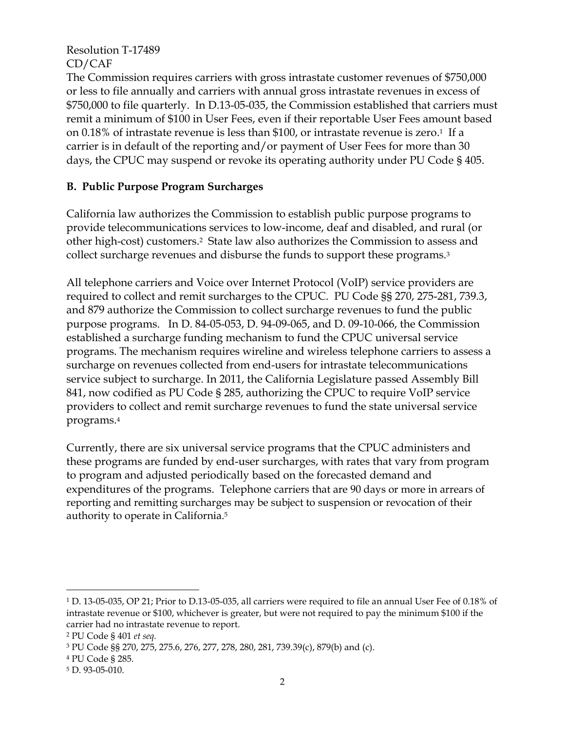The Commission requires carriers with gross intrastate customer revenues of \$750,000 or less to file annually and carriers with annual gross intrastate revenues in excess of \$750,000 to file quarterly. In D.13-05-035, the Commission established that carriers must remit a minimum of \$100 in User Fees, even if their reportable User Fees amount based on 0.18% of intrastate revenue is less than \$100, or intrastate revenue is zero. <sup>1</sup> If a carrier is in default of the reporting and/or payment of User Fees for more than 30 days, the CPUC may suspend or revoke its operating authority under PU Code § 405.

### **B. Public Purpose Program Surcharges**

California law authorizes the Commission to establish public purpose programs to provide telecommunications services to low-income, deaf and disabled, and rural (or other high-cost) customers.<sup>2</sup>State law also authorizes the Commission to assess and collect surcharge revenues and disburse the funds to support these programs.<sup>3</sup>

All telephone carriers and Voice over Internet Protocol (VoIP) service providers are required to collect and remit surcharges to the CPUC. PU Code §§ 270, 275-281, 739.3, and 879 authorize the Commission to collect surcharge revenues to fund the public purpose programs. In D. 84-05-053, D. 94-09-065, and D. 09-10-066, the Commission established a surcharge funding mechanism to fund the CPUC universal service programs. The mechanism requires wireline and wireless telephone carriers to assess a surcharge on revenues collected from end-users for intrastate telecommunications service subject to surcharge. In 2011, the California Legislature passed Assembly Bill 841, now codified as PU Code § 285, authorizing the CPUC to require VoIP service providers to collect and remit surcharge revenues to fund the state universal service programs. 4

Currently, there are six universal service programs that the CPUC administers and these programs are funded by end-user surcharges, with rates that vary from program to program and adjusted periodically based on the forecasted demand and expenditures of the programs. Telephone carriers that are 90 days or more in arrears of reporting and remitting surcharges may be subject to suspension or revocation of their authority to operate in California.<sup>5</sup>

 $\overline{a}$ 

<sup>1</sup> D. 13-05-035, OP 21; Prior to D.13-05-035, all carriers were required to file an annual User Fee of 0.18% of intrastate revenue or \$100, whichever is greater, but were not required to pay the minimum \$100 if the carrier had no intrastate revenue to report.

<sup>2</sup> PU Code § 401 *et seq.* 

<sup>3</sup> PU Code §§ 270, 275, 275.6, 276, 277, 278, 280, 281, 739.39(c), 879(b) and (c).

<sup>4</sup> PU Code § 285.

<sup>5</sup> D. 93-05-010.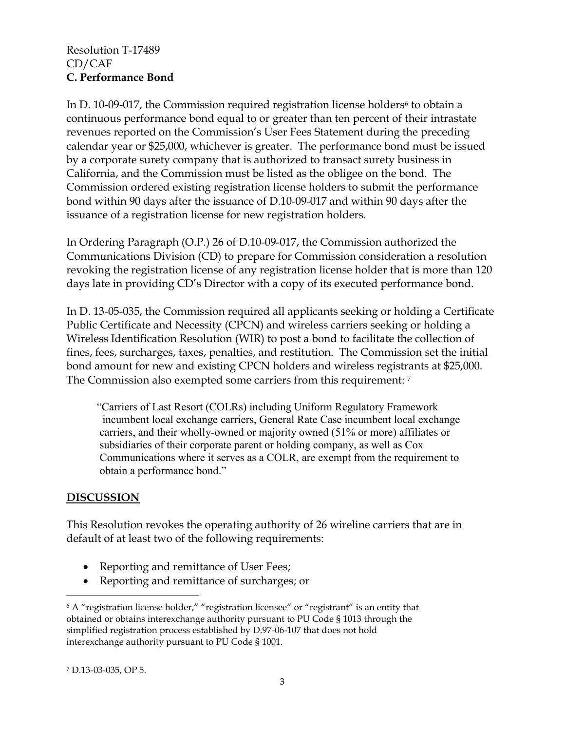#### Resolution T-17489 CD/CAF **C. Performance Bond**

In D. 10-09-017, the Commission required registration license holders<sup>6</sup> to obtain a continuous performance bond equal to or greater than ten percent of their intrastate revenues reported on the Commission's User Fees Statement during the preceding calendar year or \$25,000, whichever is greater. The performance bond must be issued by a corporate surety company that is authorized to transact surety business in California, and the Commission must be listed as the obligee on the bond. The Commission ordered existing registration license holders to submit the performance bond within 90 days after the issuance of D.10-09-017 and within 90 days after the issuance of a registration license for new registration holders.

In Ordering Paragraph (O.P.) 26 of D.10-09-017, the Commission authorized the Communications Division (CD) to prepare for Commission consideration a resolution revoking the registration license of any registration license holder that is more than 120 days late in providing CD's Director with a copy of its executed performance bond.

In D. 13-05-035, the Commission required all applicants seeking or holding a Certificate Public Certificate and Necessity (CPCN) and wireless carriers seeking or holding a Wireless Identification Resolution (WIR) to post a bond to facilitate the collection of fines, fees, surcharges, taxes, penalties, and restitution. The Commission set the initial bond amount for new and existing CPCN holders and wireless registrants at \$25,000. The Commission also exempted some carriers from this requirement: <sup>7</sup>

 "Carriers of Last Resort (COLRs) including Uniform Regulatory Framework incumbent local exchange carriers, General Rate Case incumbent local exchange carriers, and their wholly-owned or majority owned (51% or more) affiliates or subsidiaries of their corporate parent or holding company, as well as Cox Communications where it serves as a COLR, are exempt from the requirement to obtain a performance bond."

### **DISCUSSION**

This Resolution revokes the operating authority of 26 wireline carriers that are in default of at least two of the following requirements:

- Reporting and remittance of User Fees;
- Reporting and remittance of surcharges; or

 $\overline{a}$ <sup>6</sup> A "registration license holder," "registration licensee" or "registrant" is an entity that obtained or obtains interexchange authority pursuant to PU Code § 1013 through the simplified registration process established by D.97-06-107 that does not hold interexchange authority pursuant to PU Code § 1001.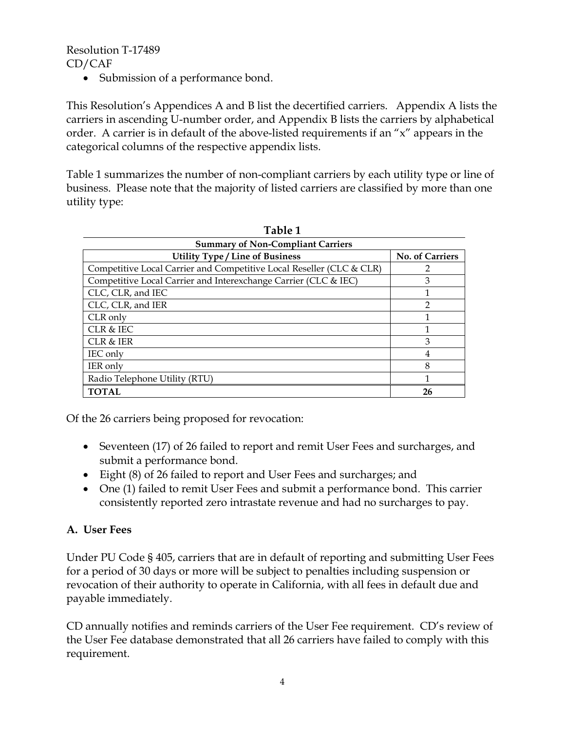• Submission of a performance bond.

This Resolution's Appendices A and B list the decertified carriers. Appendix A lists the carriers in ascending U-number order, and Appendix B lists the carriers by alphabetical order. A carrier is in default of the above-listed requirements if an "x" appears in the categorical columns of the respective appendix lists.

Table 1 summarizes the number of non-compliant carriers by each utility type or line of business. Please note that the majority of listed carriers are classified by more than one utility type:

| <b>Summary of Non-Compliant Carriers</b>                             |                 |  |  |  |  |  |
|----------------------------------------------------------------------|-----------------|--|--|--|--|--|
| <b>Utility Type / Line of Business</b>                               | No. of Carriers |  |  |  |  |  |
| Competitive Local Carrier and Competitive Local Reseller (CLC & CLR) |                 |  |  |  |  |  |
| Competitive Local Carrier and Interexchange Carrier (CLC & IEC)      | 3               |  |  |  |  |  |
| CLC, CLR, and IEC                                                    |                 |  |  |  |  |  |
| CLC, CLR, and IER                                                    | 2               |  |  |  |  |  |
| CLR only                                                             |                 |  |  |  |  |  |
| CLR & IEC                                                            |                 |  |  |  |  |  |
| <b>CLR &amp; IER</b>                                                 | 3               |  |  |  |  |  |
| IEC only                                                             | 4               |  |  |  |  |  |
| <b>IER</b> only                                                      | 8               |  |  |  |  |  |
| Radio Telephone Utility (RTU)                                        |                 |  |  |  |  |  |
| <b>TOTAL</b>                                                         | 26              |  |  |  |  |  |

| Table 1 |  |
|---------|--|
|---------|--|

Of the 26 carriers being proposed for revocation:

- Seventeen (17) of 26 failed to report and remit User Fees and surcharges, and submit a performance bond.
- Eight (8) of 26 failed to report and User Fees and surcharges; and
- One (1) failed to remit User Fees and submit a performance bond. This carrier consistently reported zero intrastate revenue and had no surcharges to pay.

### **A. User Fees**

Under PU Code § 405, carriers that are in default of reporting and submitting User Fees for a period of 30 days or more will be subject to penalties including suspension or revocation of their authority to operate in California, with all fees in default due and payable immediately.

CD annually notifies and reminds carriers of the User Fee requirement. CD's review of the User Fee database demonstrated that all 26 carriers have failed to comply with this requirement.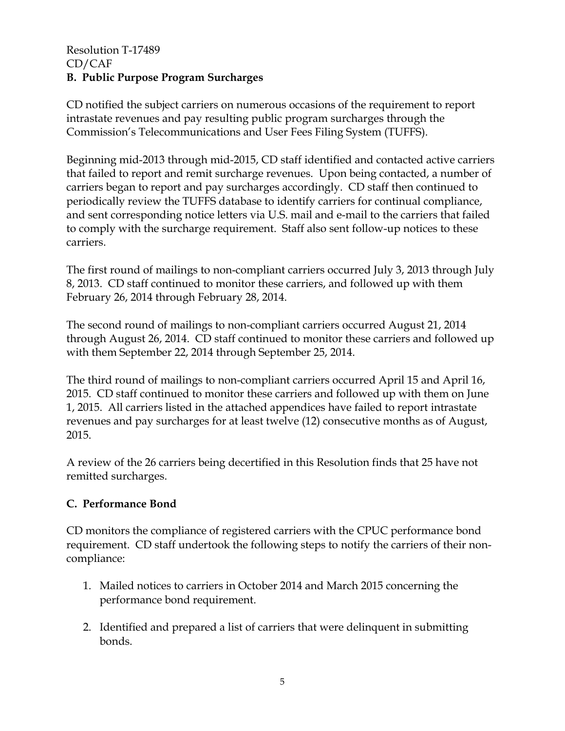#### Resolution T-17489 CD/CAF **B. Public Purpose Program Surcharges**

CD notified the subject carriers on numerous occasions of the requirement to report intrastate revenues and pay resulting public program surcharges through the Commission's Telecommunications and User Fees Filing System (TUFFS).

Beginning mid-2013 through mid-2015, CD staff identified and contacted active carriers that failed to report and remit surcharge revenues. Upon being contacted, a number of carriers began to report and pay surcharges accordingly. CD staff then continued to periodically review the TUFFS database to identify carriers for continual compliance, and sent corresponding notice letters via U.S. mail and e-mail to the carriers that failed to comply with the surcharge requirement. Staff also sent follow-up notices to these carriers.

The first round of mailings to non-compliant carriers occurred July 3, 2013 through July 8, 2013. CD staff continued to monitor these carriers, and followed up with them February 26, 2014 through February 28, 2014.

The second round of mailings to non-compliant carriers occurred August 21, 2014 through August 26, 2014. CD staff continued to monitor these carriers and followed up with them September 22, 2014 through September 25, 2014.

The third round of mailings to non-compliant carriers occurred April 15 and April 16, 2015. CD staff continued to monitor these carriers and followed up with them on June 1, 2015. All carriers listed in the attached appendices have failed to report intrastate revenues and pay surcharges for at least twelve (12) consecutive months as of August, 2015.

A review of the 26 carriers being decertified in this Resolution finds that 25 have not remitted surcharges.

## **C. Performance Bond**

CD monitors the compliance of registered carriers with the CPUC performance bond requirement. CD staff undertook the following steps to notify the carriers of their noncompliance:

- 1. Mailed notices to carriers in October 2014 and March 2015 concerning the performance bond requirement.
- 2. Identified and prepared a list of carriers that were delinquent in submitting bonds.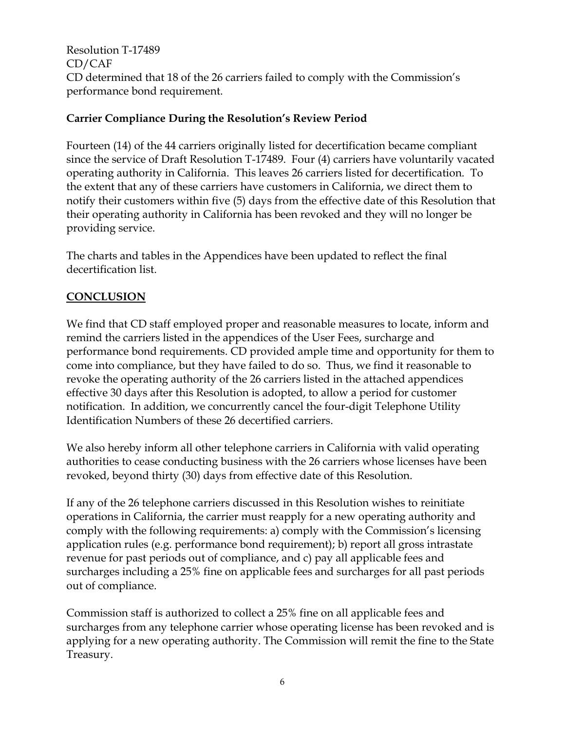Resolution T-17489 CD/CAF CD determined that 18 of the 26 carriers failed to comply with the Commission's performance bond requirement.

## **Carrier Compliance During the Resolution's Review Period**

Fourteen (14) of the 44 carriers originally listed for decertification became compliant since the service of Draft Resolution T-17489. Four (4) carriers have voluntarily vacated operating authority in California. This leaves 26 carriers listed for decertification. To the extent that any of these carriers have customers in California, we direct them to notify their customers within five (5) days from the effective date of this Resolution that their operating authority in California has been revoked and they will no longer be providing service.

The charts and tables in the Appendices have been updated to reflect the final decertification list.

## **CONCLUSION**

We find that CD staff employed proper and reasonable measures to locate, inform and remind the carriers listed in the appendices of the User Fees, surcharge and performance bond requirements. CD provided ample time and opportunity for them to come into compliance, but they have failed to do so. Thus, we find it reasonable to revoke the operating authority of the 26 carriers listed in the attached appendices effective 30 days after this Resolution is adopted, to allow a period for customer notification. In addition, we concurrently cancel the four-digit Telephone Utility Identification Numbers of these 26 decertified carriers.

We also hereby inform all other telephone carriers in California with valid operating authorities to cease conducting business with the 26 carriers whose licenses have been revoked, beyond thirty (30) days from effective date of this Resolution.

If any of the 26 telephone carriers discussed in this Resolution wishes to reinitiate operations in California, the carrier must reapply for a new operating authority and comply with the following requirements: a) comply with the Commission's licensing application rules (e.g. performance bond requirement); b) report all gross intrastate revenue for past periods out of compliance, and c) pay all applicable fees and surcharges including a 25% fine on applicable fees and surcharges for all past periods out of compliance.

Commission staff is authorized to collect a 25% fine on all applicable fees and surcharges from any telephone carrier whose operating license has been revoked and is applying for a new operating authority. The Commission will remit the fine to the State Treasury.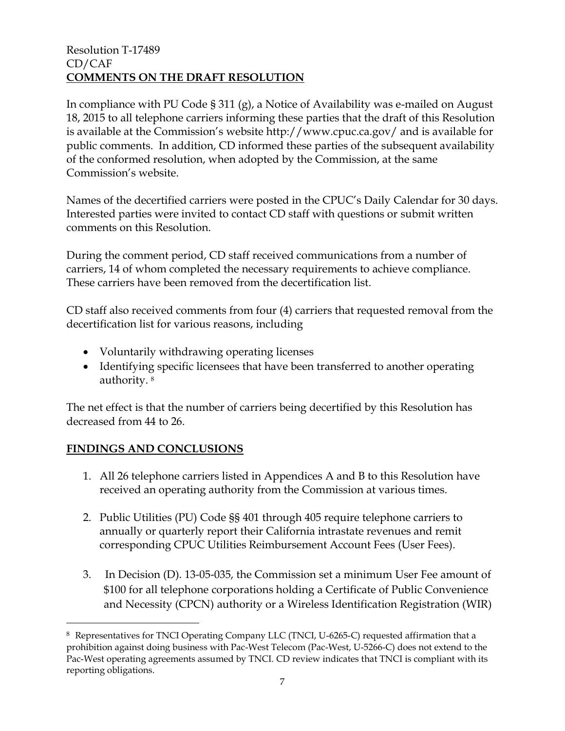### Resolution T-17489 CD/CAF **COMMENTS ON THE DRAFT RESOLUTION**

In compliance with PU Code § 311 (g), a Notice of Availability was e-mailed on August 18, 2015 to all telephone carriers informing these parties that the draft of this Resolution is available at the Commission's website http://www.cpuc.ca.gov/ and is available for public comments. In addition, CD informed these parties of the subsequent availability of the conformed resolution, when adopted by the Commission, at the same Commission's website.

Names of the decertified carriers were posted in the CPUC's Daily Calendar for 30 days. Interested parties were invited to contact CD staff with questions or submit written comments on this Resolution.

During the comment period, CD staff received communications from a number of carriers, 14 of whom completed the necessary requirements to achieve compliance. These carriers have been removed from the decertification list.

CD staff also received comments from four (4) carriers that requested removal from the decertification list for various reasons, including

- Voluntarily withdrawing operating licenses
- Identifying specific licensees that have been transferred to another operating authority. <sup>8</sup>

The net effect is that the number of carriers being decertified by this Resolution has decreased from 44 to 26.

## **FINDINGS AND CONCLUSIONS**

 $\overline{a}$ 

- 1. All 26 telephone carriers listed in Appendices A and B to this Resolution have received an operating authority from the Commission at various times.
- 2. Public Utilities (PU) Code §§ 401 through 405 require telephone carriers to annually or quarterly report their California intrastate revenues and remit corresponding CPUC Utilities Reimbursement Account Fees (User Fees).
- 3. In Decision (D). 13-05-035, the Commission set a minimum User Fee amount of \$100 for all telephone corporations holding a Certificate of Public Convenience and Necessity (CPCN) authority or a Wireless Identification Registration (WIR)

<sup>&</sup>lt;sup>8</sup> Representatives for TNCI Operating Company LLC (TNCI, U-6265-C) requested affirmation that a prohibition against doing business with Pac-West Telecom (Pac-West, U-5266-C) does not extend to the Pac-West operating agreements assumed by TNCI. CD review indicates that TNCI is compliant with its reporting obligations.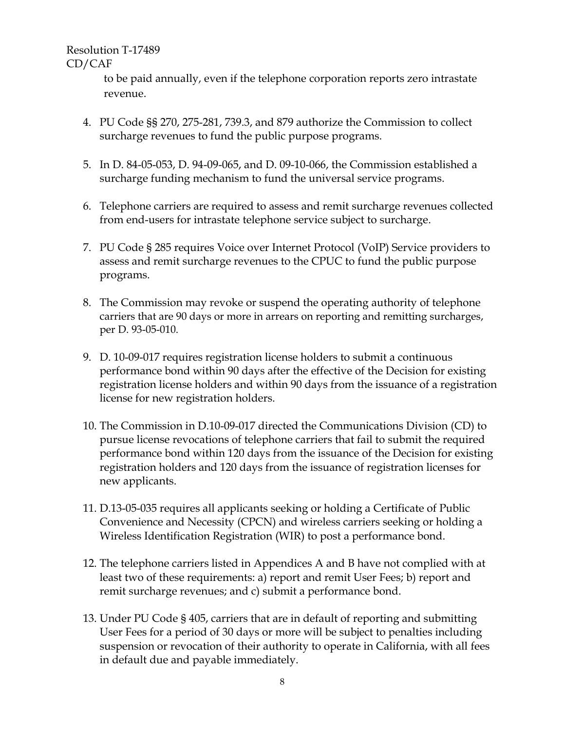> to be paid annually, even if the telephone corporation reports zero intrastate revenue.

- 4. PU Code §§ 270, 275-281, 739.3, and 879 authorize the Commission to collect surcharge revenues to fund the public purpose programs.
- 5. In D. 84-05-053, D. 94-09-065, and D. 09-10-066, the Commission established a surcharge funding mechanism to fund the universal service programs.
- 6. Telephone carriers are required to assess and remit surcharge revenues collected from end-users for intrastate telephone service subject to surcharge.
- 7. PU Code § 285 requires Voice over Internet Protocol (VoIP) Service providers to assess and remit surcharge revenues to the CPUC to fund the public purpose programs.
- 8. The Commission may revoke or suspend the operating authority of telephone carriers that are 90 days or more in arrears on reporting and remitting surcharges, per D. 93-05-010.
- 9. D. 10-09-017 requires registration license holders to submit a continuous performance bond within 90 days after the effective of the Decision for existing registration license holders and within 90 days from the issuance of a registration license for new registration holders.
- 10. The Commission in D.10-09-017 directed the Communications Division (CD) to pursue license revocations of telephone carriers that fail to submit the required performance bond within 120 days from the issuance of the Decision for existing registration holders and 120 days from the issuance of registration licenses for new applicants.
- 11. D.13-05-035 requires all applicants seeking or holding a Certificate of Public Convenience and Necessity (CPCN) and wireless carriers seeking or holding a Wireless Identification Registration (WIR) to post a performance bond.
- 12. The telephone carriers listed in Appendices A and B have not complied with at least two of these requirements: a) report and remit User Fees; b) report and remit surcharge revenues; and c) submit a performance bond.
- 13. Under PU Code § 405, carriers that are in default of reporting and submitting User Fees for a period of 30 days or more will be subject to penalties including suspension or revocation of their authority to operate in California, with all fees in default due and payable immediately.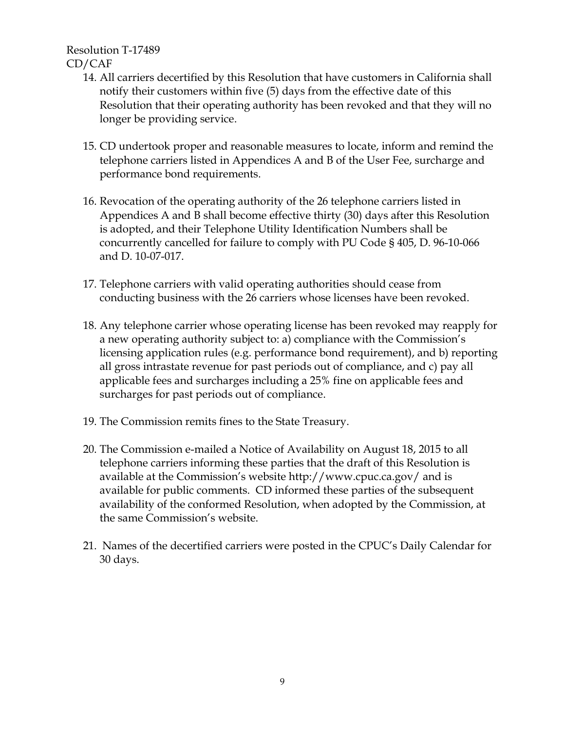- 14. All carriers decertified by this Resolution that have customers in California shall notify their customers within five (5) days from the effective date of this Resolution that their operating authority has been revoked and that they will no longer be providing service.
- 15. CD undertook proper and reasonable measures to locate, inform and remind the telephone carriers listed in Appendices A and B of the User Fee, surcharge and performance bond requirements.
- 16. Revocation of the operating authority of the 26 telephone carriers listed in Appendices A and B shall become effective thirty (30) days after this Resolution is adopted, and their Telephone Utility Identification Numbers shall be concurrently cancelled for failure to comply with PU Code § 405, D. 96-10-066 and D. 10-07-017.
- 17. Telephone carriers with valid operating authorities should cease from conducting business with the 26 carriers whose licenses have been revoked.
- 18. Any telephone carrier whose operating license has been revoked may reapply for a new operating authority subject to: a) compliance with the Commission's licensing application rules (e.g. performance bond requirement), and b) reporting all gross intrastate revenue for past periods out of compliance, and c) pay all applicable fees and surcharges including a 25% fine on applicable fees and surcharges for past periods out of compliance.
- 19. The Commission remits fines to the State Treasury.
- 20. The Commission e-mailed a Notice of Availability on August 18, 2015 to all telephone carriers informing these parties that the draft of this Resolution is available at the Commission's website http://www.cpuc.ca.gov/ and is available for public comments. CD informed these parties of the subsequent availability of the conformed Resolution, when adopted by the Commission, at the same Commission's website.
- 21. Names of the decertified carriers were posted in the CPUC's Daily Calendar for 30 days.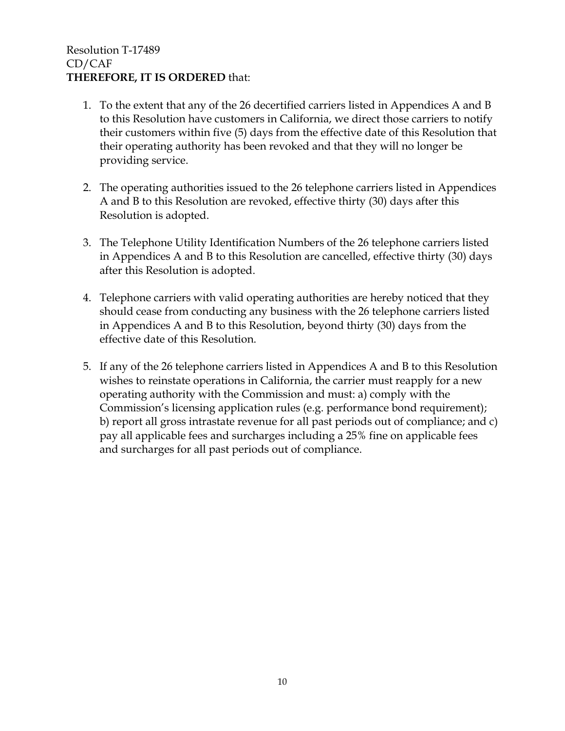## Resolution T-17489 CD/CAF **THEREFORE, IT IS ORDERED** that:

- 1. To the extent that any of the 26 decertified carriers listed in Appendices A and B to this Resolution have customers in California, we direct those carriers to notify their customers within five (5) days from the effective date of this Resolution that their operating authority has been revoked and that they will no longer be providing service.
- 2. The operating authorities issued to the 26 telephone carriers listed in Appendices A and B to this Resolution are revoked, effective thirty (30) days after this Resolution is adopted.
- 3. The Telephone Utility Identification Numbers of the 26 telephone carriers listed in Appendices A and B to this Resolution are cancelled, effective thirty (30) days after this Resolution is adopted.
- 4. Telephone carriers with valid operating authorities are hereby noticed that they should cease from conducting any business with the 26 telephone carriers listed in Appendices A and B to this Resolution, beyond thirty (30) days from the effective date of this Resolution.
- 5. If any of the 26 telephone carriers listed in Appendices A and B to this Resolution wishes to reinstate operations in California, the carrier must reapply for a new operating authority with the Commission and must: a) comply with the Commission's licensing application rules (e.g. performance bond requirement); b) report all gross intrastate revenue for all past periods out of compliance; and c) pay all applicable fees and surcharges including a 25% fine on applicable fees and surcharges for all past periods out of compliance.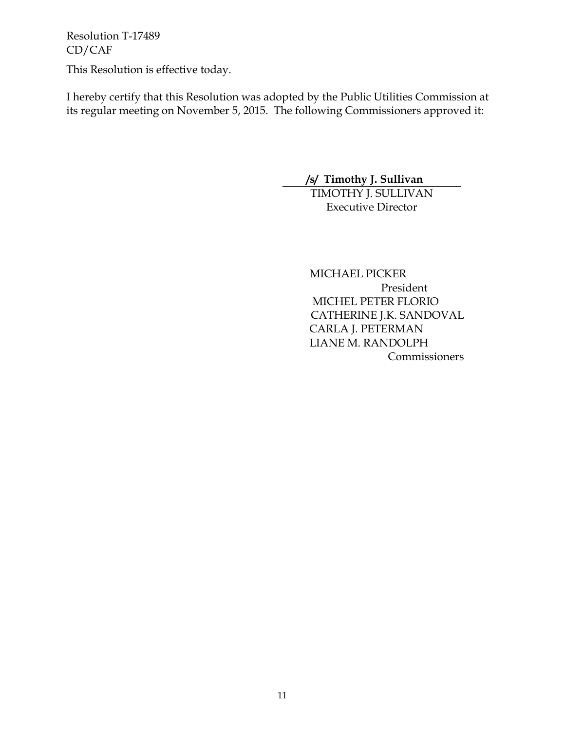This Resolution is effective today.

I hereby certify that this Resolution was adopted by the Public Utilities Commission at its regular meeting on November 5, 2015. The following Commissioners approved it:

# **/s/ Timothy J. Sullivan**

TIMOTHY J. SULLIVAN Executive Director

 MICHAEL PICKER President MICHEL PETER FLORIO CATHERINE J.K. SANDOVAL CARLA J. PETERMAN LIANE M. RANDOLPH Commissioners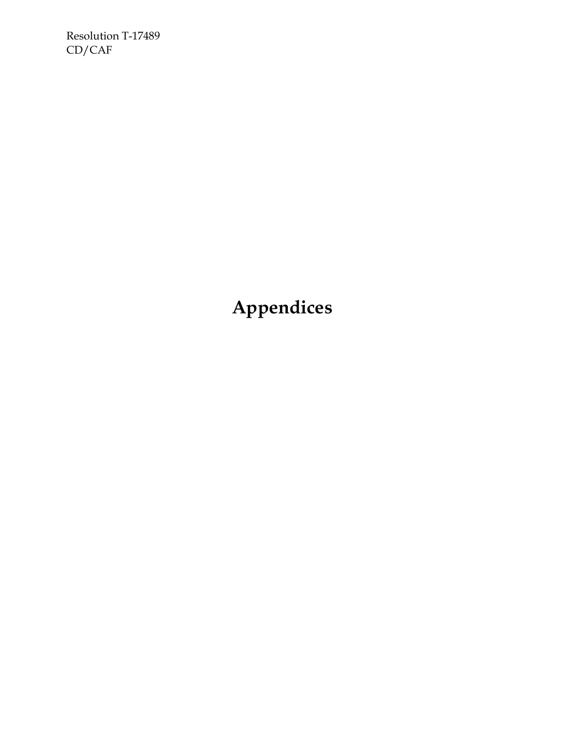**Appendices**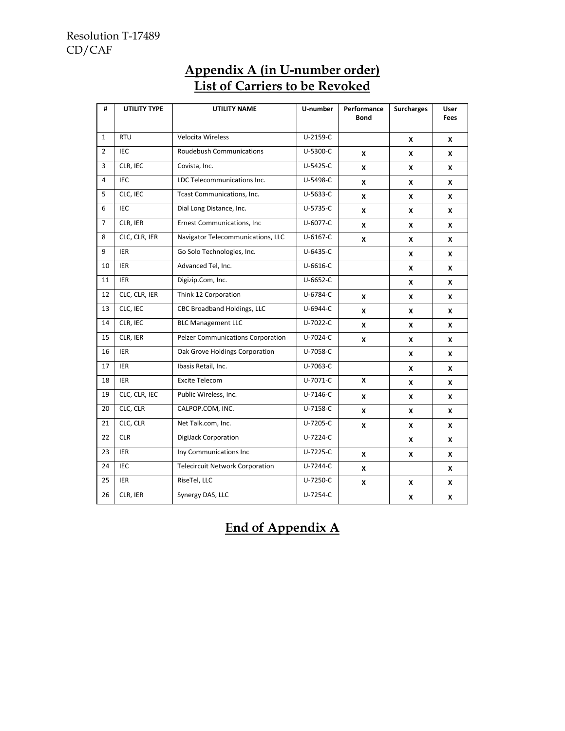| #              | <b>UTILITY TYPE</b> | <b>UTILITY NAME</b>                    | U-number       | Performance<br><b>Bond</b> | <b>Surcharges</b> | <b>User</b><br><b>Fees</b> |
|----------------|---------------------|----------------------------------------|----------------|----------------------------|-------------------|----------------------------|
| $\mathbf{1}$   | <b>RTU</b>          | <b>Velocita Wireless</b>               | U-2159-C       |                            | X                 | X                          |
| $\overline{2}$ | <b>IEC</b>          | <b>Roudebush Communications</b>        | U-5300-C       | X                          | X                 | X                          |
| 3              | CLR, IEC            | Covista, Inc.                          | U-5425-C       | X                          | X                 | X                          |
| 4              | <b>IEC</b>          | LDC Telecommunications Inc.            | U-5498-C       | x                          | X                 | X                          |
| 5              | CLC, IEC            | Tcast Communications, Inc.             | U-5633-C       | X                          | X                 | X                          |
| 6              | IEC                 | Dial Long Distance, Inc.               | U-5735-C       | X                          | X                 | X                          |
| $\overline{7}$ | CLR, IER            | <b>Ernest Communications, Inc</b>      | U-6077-C       | X                          | X                 | x                          |
| 8              | CLC, CLR, IER       | Navigator Telecommunications, LLC      | $U-6167-C$     | x                          | X                 | X                          |
| 9              | <b>IER</b>          | Go Solo Technologies, Inc.             | $U - 6435 - C$ |                            | X                 | X                          |
| 10             | <b>IER</b>          | Advanced Tel, Inc.                     | U-6616-C       |                            | X                 | X                          |
| 11             | <b>IER</b>          | Digizip.Com, Inc.                      | U-6652-C       |                            | X                 | X                          |
| 12             | CLC, CLR, IER       | Think 12 Corporation                   | U-6784-C       | x                          | x                 | X                          |
| 13             | CLC, IEC            | CBC Broadband Holdings, LLC            | U-6944-C       | x                          | X                 | x                          |
| 14             | CLR, IEC            | <b>BLC Management LLC</b>              | U-7022-C       | X                          | X                 | X                          |
| 15             | CLR, IER            | Pelzer Communications Corporation      | U-7024-C       | X                          | X                 | X                          |
| 16             | <b>IER</b>          | Oak Grove Holdings Corporation         | U-7058-C       |                            | X                 | X                          |
| 17             | <b>IER</b>          | Ibasis Retail, Inc.                    | U-7063-C       |                            | X                 | X                          |
| 18             | IER                 | <b>Excite Telecom</b>                  | U-7071-C       | X                          | x                 | X                          |
| 19             | CLC, CLR, IEC       | Public Wireless, Inc.                  | $U - 7146-C$   | X                          | X                 | X                          |
| 20             | CLC, CLR            | CALPOP.COM, INC.                       | U-7158-C       | X                          | X                 | X                          |
| 21             | CLC, CLR            | Net Talk.com, Inc.                     | U-7205-C       | X                          | X                 | X                          |
| 22             | <b>CLR</b>          | DigiJack Corporation                   | U-7224-C       |                            | X                 | X                          |
| 23             | <b>IER</b>          | Iny Communications Inc                 | U-7225-C       | X                          | X                 | X                          |
| 24             | IEC                 | <b>Telecircuit Network Corporation</b> | U-7244-C       | X                          |                   | X                          |
| 25             | <b>IER</b>          | RiseTel, LLC                           | U-7250-C       | X                          | X                 | X                          |
| 26             | CLR, IER            | Synergy DAS, LLC                       | U-7254-C       |                            | X                 | X                          |

# **Appendix A (in U-number order) List of Carriers to be Revoked**

# **End of Appendix A**